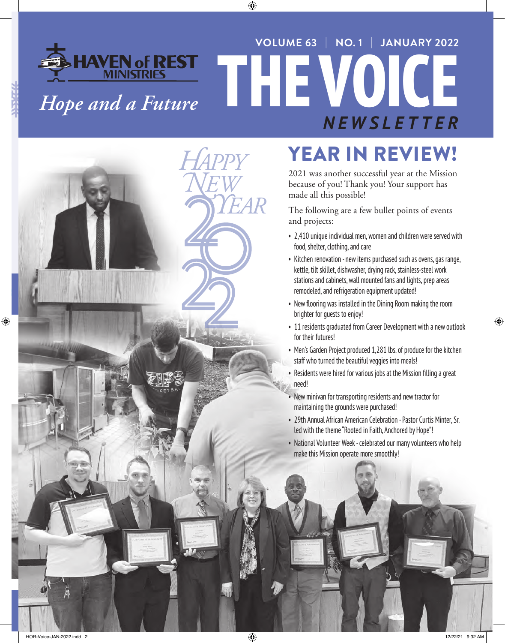# **THAVEN of REST THE VOICE VOLUME 63** | **NO. 1** | **JANUARY 2022** *NEWSLETTER Hope and a Future*



# YEAR IN REVIEW!

2021 was another successful year at the Mission because of you! Thank you! Your support has made all this possible!

The following are a few bullet points of events and projects:

- 2,410 unique individual men, women and children were served with food, shelter, clothing, and care
- Kitchen renovation new items purchased such as ovens, gas range, kettle, tilt skillet, dishwasher, drying rack, stainless-steel work stations and cabinets, wall mounted fans and lights, prep areas remodeled, and refrigeration equipment updated!
- New flooring was installed in the Dining Room making the room brighter for guests to enjoy!
- 11 residents graduated from Career Development with a new outlook for their futures!
- Men's Garden Project produced 1,281 lbs. of produce for the kitchen staff who turned the beautiful veggies into meals!
- Residents were hired for various jobs at the Mission filling a great
- New minivan for transporting residents and new tractor for maintaining the grounds were purchased!
- 29th Annual African American Celebration Pastor Curtis Minter, Sr. led with the theme "Rooted in Faith, Anchored by Hope"!
- National Volunteer Week celebrated our many volunteers who help make this Mission operate more smoothly!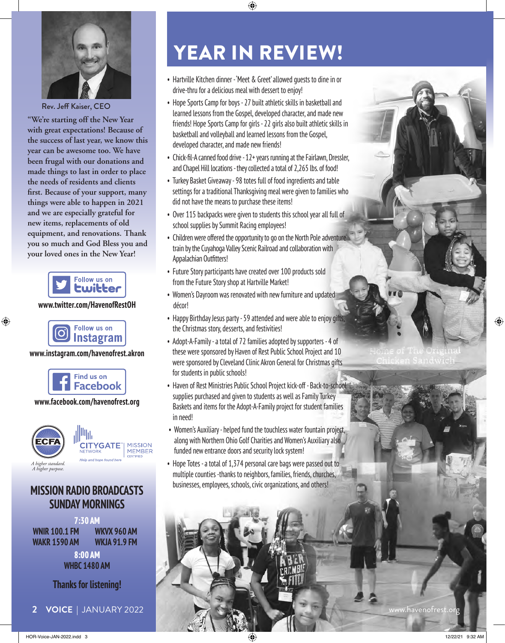

Rev. Jeff Kaiser, CEO

**"We're starting off the New Year with great expectations! Because of the success of last year, we know this year can be awesome too. We have been frugal with our donations and made things to last in order to place the needs of residents and clients first. Because of your support, many things were able to happen in 2021 and we are especially grateful for new items, replacements of old equipment, and renovations. Thank you so much and God Bless you and your loved ones in the New Year!**



#### **www.twitter.com/HavenofRestOH**



#### **www.instagram.com/havenofrest.akron**



#### **www.facebook.com/havenofrest.org**



#### **MISSION RADIO BROADCASTS SUNDAY MORNINGS**

**7:30 AM WNIR 100.1 FM WAKR 1590 AM WKVX 960 AM WKJA 91.9 FM 8:00 AM WHBC 1480 AM**

**Thanks for listening!**

# YEAR IN REVIEW!

- Hartville Kitchen dinner 'Meet & Greet' allowed guests to dine in or drive-thru for a delicious meal with dessert to enjoy!
- Hope Sports Camp for boys 27 built athletic skills in basketball and learned lessons from the Gospel, developed character, and made new friends! Hope Sports Camp for girls - 22 girls also built athletic skills in basketball and volleyball and learned lessons from the Gospel, developed character, and made new friends!
- Chick-fil-A canned food drive 12+ years running at the Fairlawn, Dressler, and Chapel Hill locations - they collected a total of 2,265 lbs. of food!
- Turkey Basket Giveaway 98 totes full of food ingredients and table settings for a traditional Thanksgiving meal were given to families who did not have the means to purchase these items!
- Over 115 backpacks were given to students this school year all full of school supplies by Summit Racing employees!
- Children were offered the opportunity to go on the North Pole adventure train by the Cuyahoga Valley Scenic Railroad and collaboration with Appalachian Outfitters!
- Future Story participants have created over 100 products sold from the Future Story shop at Hartville Market!
- Women's Dayroom was renovated with new furniture and updated décor!
- Happy Birthday Jesus party 59 attended and were able to enjoy gifts, the Christmas story, desserts, and festivities!
- Adopt-A-Family a total of 72 families adopted by supporters 4 of these were sponsored by Haven of Rest Public School Project and 10 were sponsored by Cleveland Clinic Akron General for Christmas gifts for students in public schools!
- Haven of Rest Ministries Public School Project kick-off Back-to-school supplies purchased and given to students as well as Family Turkey Baskets and items for the Adopt-A-Family project for student families in need!
- Women's Auxiliary helped fund the touchless water fountain project, along with Northern Ohio Golf Charities and Women's Auxiliary also funded new entrance doors and security lock system!
- Hope Totes a total of 1,374 personal care bags were passed out to multiple counties -thanks to neighbors, families, friends, churches, businesses, employees, schools, civic organizations, and others!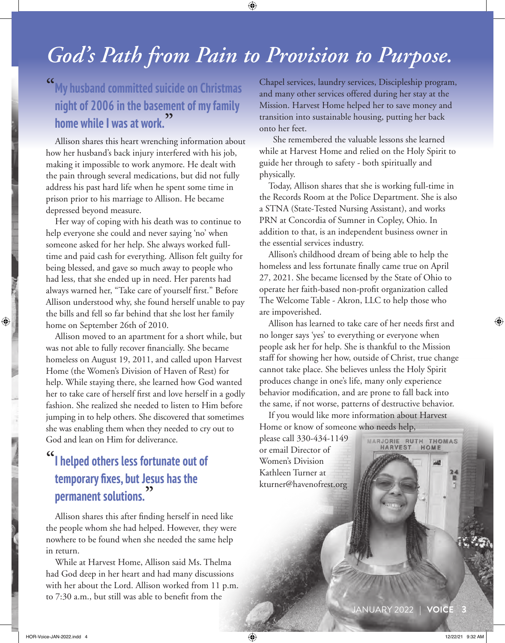## *God's Path from Pain to Provision to Purpose.*

### **"My husband committed suicide on Christmas night of 2006 in the basement of my family home while I was at work."**

Allison shares this heart wrenching information about how her husband's back injury interfered with his job, making it impossible to work anymore. He dealt with the pain through several medications, but did not fully address his past hard life when he spent some time in prison prior to his marriage to Allison. He became depressed beyond measure.

Her way of coping with his death was to continue to help everyone she could and never saying 'no' when someone asked for her help. She always worked fulltime and paid cash for everything. Allison felt guilty for being blessed, and gave so much away to people who had less, that she ended up in need. Her parents had always warned her, "Take care of yourself first." Before Allison understood why, she found herself unable to pay the bills and fell so far behind that she lost her family home on September 26th of 2010.

Allison moved to an apartment for a short while, but was not able to fully recover financially. She became homeless on August 19, 2011, and called upon Harvest Home (the Women's Division of Haven of Rest) for help. While staying there, she learned how God wanted her to take care of herself first and love herself in a godly fashion. She realized she needed to listen to Him before jumping in to help others. She discovered that sometimes she was enabling them when they needed to cry out to God and lean on Him for deliverance.

## **"I helped others less fortunate out of temporary fixes, but Jesus has the permanent solutions."**

 Allison shares this after finding herself in need like the people whom she had helped. However, they were nowhere to be found when she needed the same help in return.

While at Harvest Home, Allison said Ms. Thelma had God deep in her heart and had many discussions with her about the Lord. Allison worked from 11 p.m. to 7:30 a.m., but still was able to benefit from the

Chapel services, laundry services, Discipleship program, and many other services offered during her stay at the Mission. Harvest Home helped her to save money and transition into sustainable housing, putting her back onto her feet.

 She remembered the valuable lessons she learned while at Harvest Home and relied on the Holy Spirit to guide her through to safety - both spiritually and physically.

Today, Allison shares that she is working full-time in the Records Room at the Police Department. She is also a STNA (State-Tested Nursing Assistant), and works PRN at Concordia of Sumner in Copley, Ohio. In addition to that, is an independent business owner in the essential services industry.

Allison's childhood dream of being able to help the homeless and less fortunate finally came true on April 27, 2021. She became licensed by the State of Ohio to operate her faith-based non-profit organization called The Welcome Table - Akron, LLC to help those who are impoverished.

Allison has learned to take care of her needs first and no longer says 'yes' to everything or everyone when people ask her for help. She is thankful to the Mission staff for showing her how, outside of Christ, true change cannot take place. She believes unless the Holy Spirit produces change in one's life, many only experience behavior modification, and are prone to fall back into the same, if not worse, patterns of destructive behavior.

If you would like more information about Harvest Home or know of someone who needs help,

please call 330-434-1149 or email Director of Women's Division Kathleen Turner at kturner@havenofrest.org

JANUARY 2022 | **VOICE 3**

MARJORIE RUTH THOMAS